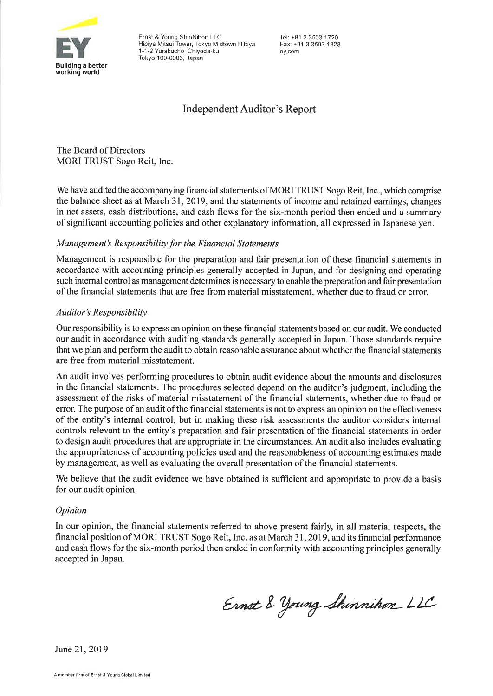

Ernst & Young ShinNihon LLC Hibiya Mitsui Tower, Tokyo Midtown Hibiya 1-1-2 Yurakucho, Chiyoda-ku Tokyo 100-0006, Japan

Tel: +81 3 3503 1720 Fax: +81 3 3503 1828 ey.com

# Independent Auditor's Report

The Board of Directors MORI TRUST Sogo Reit, Inc.

We have audited the accompanying financial statements of MORI TRUST Sogo Reit, Inc., which comprise the balance sheet as at March 31, 2019, and the statements of income and retained earnings, changes in net assets, cash distributions, and cash flows for the six-month period then ended and a summary of significant accounting policies and other explanatory information, all expressed in Japanese yen.

# Management's Responsibility for the Financial Statements

Management is responsible for the preparation and fair presentation of these financial statements in accordance with accounting principles generally accepted in Japan, and for designing and operating such internal control as management determines is necessary to enable the preparation and fair presentation of the financial statements that are free from material misstatement, whether due to fraud or error.

# **Auditor's Responsibility**

Our responsibility is to express an opinion on these financial statements based on our audit. We conducted our audit in accordance with auditing standards generally accepted in Japan. Those standards require that we plan and perform the audit to obtain reasonable assurance about whether the financial statements are free from material misstatement.

An audit involves performing procedures to obtain audit evidence about the amounts and disclosures in the financial statements. The procedures selected depend on the auditor's judgment, including the assessment of the risks of material misstatement of the financial statements, whether due to fraud or error. The purpose of an audit of the financial statements is not to express an opinion on the effectiveness of the entity's internal control, but in making these risk assessments the auditor considers internal controls relevant to the entity's preparation and fair presentation of the financial statements in order to design audit procedures that are appropriate in the circumstances. An audit also includes evaluating the appropriateness of accounting policies used and the reasonableness of accounting estimates made by management, as well as evaluating the overall presentation of the financial statements.

We believe that the audit evidence we have obtained is sufficient and appropriate to provide a basis for our audit opinion.

# Opinion

In our opinion, the financial statements referred to above present fairly, in all material respects, the financial position of MORI TRUST Sogo Reit, Inc. as at March 31, 2019, and its financial performance and cash flows for the six-month period then ended in conformity with accounting principles generally accepted in Japan.

Ernst & Young Shinnihor LLC

June 21, 2019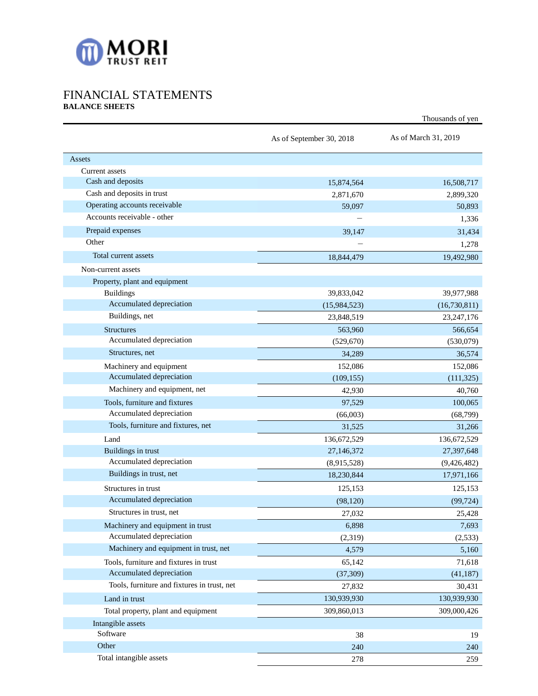

# FINANCIAL STATEMENTS **BALANCE SHEETS**

Thousands of yen

|                                             | As of September 30, 2018 | As of March 31, 2019 |
|---------------------------------------------|--------------------------|----------------------|
| Assets                                      |                          |                      |
| Current assets                              |                          |                      |
| Cash and deposits                           | 15,874,564               | 16,508,717           |
| Cash and deposits in trust                  | 2,871,670                | 2,899,320            |
| Operating accounts receivable               | 59,097                   | 50,893               |
| Accounts receivable - other                 |                          | 1,336                |
| Prepaid expenses                            | 39,147                   | 31,434               |
| Other                                       |                          | 1,278                |
| Total current assets                        | 18,844,479               | 19,492,980           |
| Non-current assets                          |                          |                      |
| Property, plant and equipment               |                          |                      |
| <b>Buildings</b>                            | 39,833,042               | 39,977,988           |
| Accumulated depreciation                    | (15,984,523)             | (16,730,811)         |
| Buildings, net                              | 23,848,519               | 23, 247, 176         |
| <b>Structures</b>                           | 563,960                  | 566,654              |
| Accumulated depreciation                    | (529, 670)               | (530,079)            |
| Structures, net                             | 34,289                   | 36,574               |
| Machinery and equipment                     | 152,086                  | 152,086              |
| Accumulated depreciation                    | (109, 155)               | (111, 325)           |
| Machinery and equipment, net                | 42,930                   | 40,760               |
| Tools, furniture and fixtures               | 97,529                   | 100,065              |
| Accumulated depreciation                    | (66,003)                 | (68,799)             |
| Tools, furniture and fixtures, net          | 31,525                   | 31,266               |
| Land                                        | 136,672,529              | 136,672,529          |
| Buildings in trust                          | 27,146,372               | 27,397,648           |
| Accumulated depreciation                    | (8,915,528)              | (9,426,482)          |
| Buildings in trust, net                     | 18,230,844               | 17,971,166           |
| Structures in trust                         | 125,153                  | 125,153              |
| Accumulated depreciation                    | (98, 120)                | (99, 724)            |
| Structures in trust, net                    | 27,032                   | 25,428               |
| Machinery and equipment in trust            | 6,898                    | 7,693                |
| Accumulated depreciation                    | (2,319)                  | (2,533)              |
| Machinery and equipment in trust, net       | 4,579                    | 5,160                |
| Tools, furniture and fixtures in trust      | 65,142                   | 71,618               |
| Accumulated depreciation                    | (37, 309)                | (41, 187)            |
| Tools, furniture and fixtures in trust, net | 27,832                   | 30,431               |
| Land in trust                               | 130,939,930              | 130,939,930          |
| Total property, plant and equipment         | 309,860,013              | 309,000,426          |
| Intangible assets                           |                          |                      |
| Software                                    | 38                       | 19                   |
| Other                                       | 240                      | 240                  |
| Total intangible assets                     | 278                      | 259                  |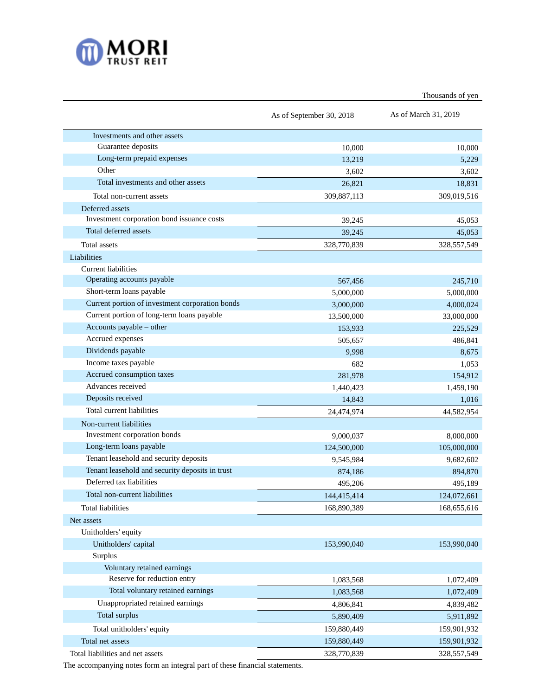

Thousands of yen

|                                                 | As of September 30, 2018 | As of March 31, 2019 |
|-------------------------------------------------|--------------------------|----------------------|
| Investments and other assets                    |                          |                      |
| Guarantee deposits                              | 10,000                   | 10,000               |
| Long-term prepaid expenses                      | 13,219                   | 5,229                |
| Other                                           | 3,602                    | 3,602                |
| Total investments and other assets              | 26,821                   | 18,831               |
| Total non-current assets                        | 309,887,113              | 309,019,516          |
| Deferred assets                                 |                          |                      |
| Investment corporation bond issuance costs      | 39,245                   | 45,053               |
| Total deferred assets                           | 39,245                   | 45,053               |
| Total assets                                    | 328,770,839              | 328,557,549          |
| Liabilities                                     |                          |                      |
| Current liabilities                             |                          |                      |
| Operating accounts payable                      | 567,456                  | 245,710              |
| Short-term loans payable                        | 5,000,000                | 5,000,000            |
| Current portion of investment corporation bonds | 3,000,000                | 4,000,024            |
| Current portion of long-term loans payable      | 13,500,000               | 33,000,000           |
| Accounts payable – other                        | 153,933                  | 225,529              |
| Accrued expenses                                | 505,657                  | 486,841              |
| Dividends payable                               | 9,998                    | 8,675                |
| Income taxes payable                            | 682                      | 1,053                |
| Accrued consumption taxes                       | 281,978                  | 154,912              |
| Advances received                               | 1,440,423                | 1,459,190            |
| Deposits received                               | 14,843                   | 1,016                |
| Total current liabilities                       | 24,474,974               | 44,582,954           |
| Non-current liabilities                         |                          |                      |
| Investment corporation bonds                    | 9,000,037                | 8,000,000            |
| Long-term loans payable                         | 124,500,000              | 105,000,000          |
| Tenant leasehold and security deposits          | 9,545,984                | 9,682,602            |
| Tenant leasehold and security deposits in trust | 874,186                  | 894,870              |
| Deferred tax liabilities                        | 495,206                  | 495,189              |
| Total non-current liabilities                   | 144,415,414              | 124,072,661          |
| <b>Total liabilities</b>                        | 168,890,389              | 168,655,616          |
| Net assets                                      |                          |                      |
| Unitholders' equity                             |                          |                      |
| Unitholders' capital                            | 153,990,040              | 153,990,040          |
| Surplus                                         |                          |                      |
| Voluntary retained earnings                     |                          |                      |
| Reserve for reduction entry                     | 1,083,568                | 1,072,409            |
| Total voluntary retained earnings               | 1,083,568                | 1,072,409            |
| Unappropriated retained earnings                | 4,806,841                | 4,839,482            |
| Total surplus                                   | 5,890,409                | 5,911,892            |
| Total unitholders' equity                       | 159,880,449              | 159,901,932          |
| Total net assets                                | 159,880,449              | 159,901,932          |
| Total liabilities and net assets                | 328,770,839              | 328,557,549          |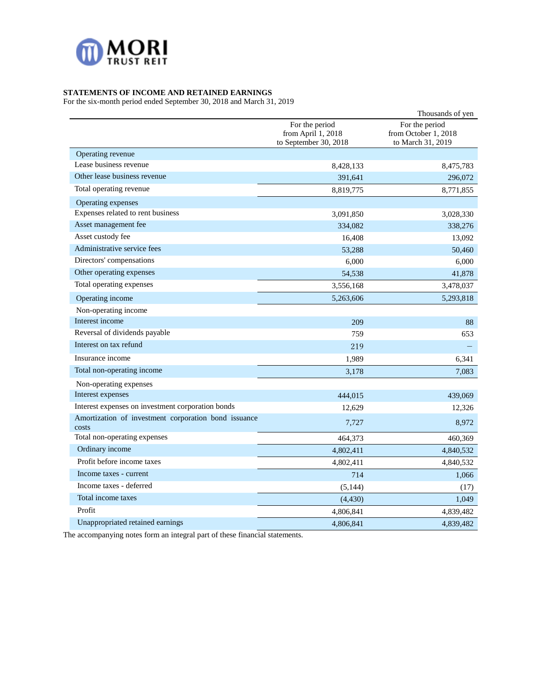

## **STATEMENTS OF INCOME AND RETAINED EARNINGS**

For the six-month period ended September 30, 2018 and March 31, 2019

|                                                               |                                                               | Thousands of yen                                            |
|---------------------------------------------------------------|---------------------------------------------------------------|-------------------------------------------------------------|
|                                                               | For the period<br>from April 1, 2018<br>to September 30, 2018 | For the period<br>from October 1, 2018<br>to March 31, 2019 |
| Operating revenue                                             |                                                               |                                                             |
| Lease business revenue                                        | 8,428,133                                                     | 8,475,783                                                   |
| Other lease business revenue                                  | 391,641                                                       | 296,072                                                     |
| Total operating revenue                                       | 8,819,775                                                     | 8,771,855                                                   |
| Operating expenses                                            |                                                               |                                                             |
| Expenses related to rent business                             | 3,091,850                                                     | 3,028,330                                                   |
| Asset management fee                                          | 334,082                                                       | 338,276                                                     |
| Asset custody fee                                             | 16,408                                                        | 13,092                                                      |
| Administrative service fees                                   | 53,288                                                        | 50,460                                                      |
| Directors' compensations                                      | 6,000                                                         | 6,000                                                       |
| Other operating expenses                                      | 54,538                                                        | 41,878                                                      |
| Total operating expenses                                      | 3,556,168                                                     | 3,478,037                                                   |
| Operating income                                              | 5,263,606                                                     | 5,293,818                                                   |
| Non-operating income                                          |                                                               |                                                             |
| Interest income                                               | 209                                                           | 88                                                          |
| Reversal of dividends payable                                 | 759                                                           | 653                                                         |
| Interest on tax refund                                        | 219                                                           |                                                             |
| Insurance income                                              | 1,989                                                         | 6,341                                                       |
| Total non-operating income                                    | 3,178                                                         | 7,083                                                       |
| Non-operating expenses                                        |                                                               |                                                             |
| Interest expenses                                             | 444,015                                                       | 439,069                                                     |
| Interest expenses on investment corporation bonds             | 12,629                                                        | 12,326                                                      |
| Amortization of investment corporation bond issuance<br>costs | 7,727                                                         | 8,972                                                       |
| Total non-operating expenses                                  | 464,373                                                       | 460,369                                                     |
| Ordinary income                                               | 4,802,411                                                     | 4,840,532                                                   |
| Profit before income taxes                                    | 4,802,411                                                     | 4,840,532                                                   |
| Income taxes - current                                        | 714                                                           | 1,066                                                       |
| Income taxes - deferred                                       | (5, 144)                                                      | (17)                                                        |
| Total income taxes                                            | (4, 430)                                                      | 1,049                                                       |
| Profit                                                        | 4,806,841                                                     | 4,839,482                                                   |
| Unappropriated retained earnings                              | 4,806,841                                                     | 4,839,482                                                   |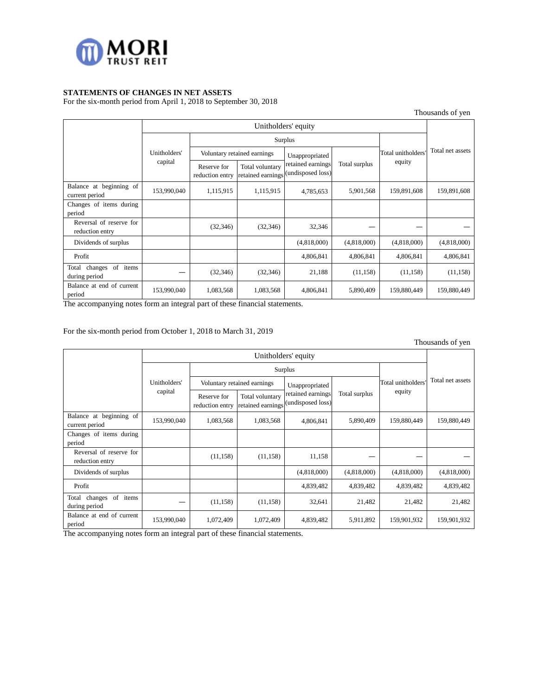

# **STATEMENTS OF CHANGES IN NET ASSETS**

For the six-month period from April 1, 2018 to September 30, 2018

Thousands of yen

|                                            |              |                                | Unitholders' equity                  |                                        |               |                  |             |
|--------------------------------------------|--------------|--------------------------------|--------------------------------------|----------------------------------------|---------------|------------------|-------------|
|                                            |              | Surplus                        |                                      |                                        |               |                  |             |
|                                            | Unitholders' |                                | Voluntary retained earnings          | Total unitholders'<br>Unappropriated   |               | Total net assets |             |
|                                            | capital      | Reserve for<br>reduction entry | Total voluntary<br>retained earnings | retained earnings<br>(undisposed loss) | Total surplus | equity           |             |
| Balance at beginning of<br>current period  | 153,990,040  | 1,115,915                      | 1,115,915                            | 4,785,653                              | 5,901,568     | 159,891,608      | 159,891,608 |
| Changes of items during<br>period          |              |                                |                                      |                                        |               |                  |             |
| Reversal of reserve for<br>reduction entry |              | (32, 346)                      | (32, 346)                            | 32,346                                 |               |                  |             |
| Dividends of surplus                       |              |                                |                                      | (4,818,000)                            | (4,818,000)   | (4,818,000)      | (4,818,000) |
| Profit                                     |              |                                |                                      | 4,806,841                              | 4,806,841     | 4,806,841        | 4,806,841   |
| Total changes of items<br>during period    |              | (32, 346)                      | (32, 346)                            | 21,188                                 | (11, 158)     | (11, 158)        | (11, 158)   |
| Balance at end of current<br>period        | 153,990,040  | 1,083,568                      | 1,083,568                            | 4,806,841                              | 5,890,409     | 159,880,449      | 159,880,449 |

The accompanying notes form an integral part of these financial statements.

For the six-month period from October 1, 2018 to March 31, 2019

Thousands of yen

|                                            |              | Unitholders' equity            |                                      |                                        |               |                    |                  |  |
|--------------------------------------------|--------------|--------------------------------|--------------------------------------|----------------------------------------|---------------|--------------------|------------------|--|
|                                            |              | Surplus                        |                                      |                                        |               |                    |                  |  |
|                                            | Unitholders' |                                | Voluntary retained earnings          | Unappropriated                         |               | Total unitholders' | Total net assets |  |
|                                            | capital      | Reserve for<br>reduction entry | Total voluntary<br>retained earnings | retained earnings<br>(undisposed loss) | Total surplus | equity             |                  |  |
| Balance at beginning of<br>current period  | 153,990,040  | 1,083,568                      | 1,083,568                            | 4,806,841                              | 5,890,409     | 159,880,449        | 159,880,449      |  |
| Changes of items during<br>period          |              |                                |                                      |                                        |               |                    |                  |  |
| Reversal of reserve for<br>reduction entry |              | (11, 158)                      | (11, 158)                            | 11,158                                 |               |                    |                  |  |
| Dividends of surplus                       |              |                                |                                      | (4,818,000)                            | (4,818,000)   | (4,818,000)        | (4,818,000)      |  |
| Profit                                     |              |                                |                                      | 4,839,482                              | 4,839,482     | 4,839,482          | 4,839,482        |  |
| Total changes of<br>items<br>during period |              | (11, 158)                      | (11, 158)                            | 32,641                                 | 21,482        | 21,482             | 21,482           |  |
| Balance at end of current<br>period        | 153,990,040  | 1,072,409                      | 1,072,409                            | 4,839,482                              | 5,911,892     | 159,901,932        | 159,901,932      |  |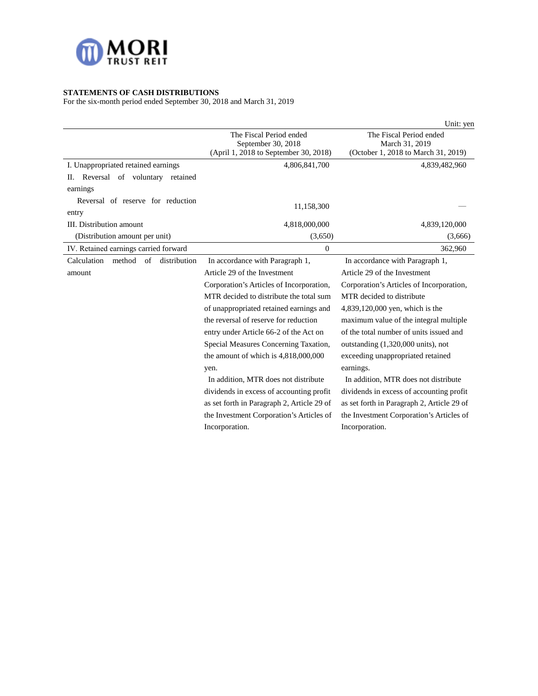

# **STATEMENTS OF CASH DISTRIBUTIONS**

For the six-month period ended September 30, 2018 and March 31, 2019

|                                                     |                                                                                        | Unit: yen                                                                        |
|-----------------------------------------------------|----------------------------------------------------------------------------------------|----------------------------------------------------------------------------------|
|                                                     | The Fiscal Period ended<br>September 30, 2018<br>(April 1, 2018 to September 30, 2018) | The Fiscal Period ended<br>March 31, 2019<br>(October 1, 2018 to March 31, 2019) |
| I. Unappropriated retained earnings                 | 4,806,841,700                                                                          | 4.839.482.960                                                                    |
| Reversal of voluntary retained<br>П.                |                                                                                        |                                                                                  |
| earnings                                            |                                                                                        |                                                                                  |
| Reversal of reserve for reduction                   |                                                                                        |                                                                                  |
| entry                                               | 11,158,300                                                                             |                                                                                  |
| III. Distribution amount                            | 4,818,000,000                                                                          | 4,839,120,000                                                                    |
| (Distribution amount per unit)                      | (3,650)                                                                                | (3,666)                                                                          |
| IV. Retained earnings carried forward               | $\mathbf{0}$                                                                           | 362,960                                                                          |
| Calculation<br>$\sigma$ f<br>method<br>distribution | In accordance with Paragraph 1,                                                        | In accordance with Paragraph 1,                                                  |
| amount                                              | Article 29 of the Investment                                                           | Article 29 of the Investment                                                     |
|                                                     | Corporation's Articles of Incorporation,                                               | Corporation's Articles of Incorporation,                                         |
|                                                     | MTR decided to distribute the total sum                                                | MTR decided to distribute                                                        |
|                                                     | of unappropriated retained earnings and                                                | 4,839,120,000 yen, which is the                                                  |
|                                                     | the reversal of reserve for reduction                                                  | maximum value of the integral multiple                                           |
|                                                     | entry under Article 66-2 of the Act on                                                 | of the total number of units issued and                                          |
|                                                     | Special Measures Concerning Taxation,                                                  | outstanding $(1,320,000 \text{ units})$ , not                                    |
|                                                     | the amount of which is 4,818,000,000                                                   | exceeding unappropriated retained                                                |
|                                                     | yen.                                                                                   | earnings.                                                                        |
|                                                     | In addition, MTR does not distribute                                                   | In addition, MTR does not distribute                                             |
|                                                     | dividends in excess of accounting profit                                               | dividends in excess of accounting profit                                         |
|                                                     | as set forth in Paragraph 2, Article 29 of                                             | as set forth in Paragraph 2, Article 29 of                                       |
|                                                     | the Investment Corporation's Articles of                                               | the Investment Corporation's Articles of                                         |
|                                                     | Incorporation.                                                                         | Incorporation.                                                                   |
|                                                     |                                                                                        |                                                                                  |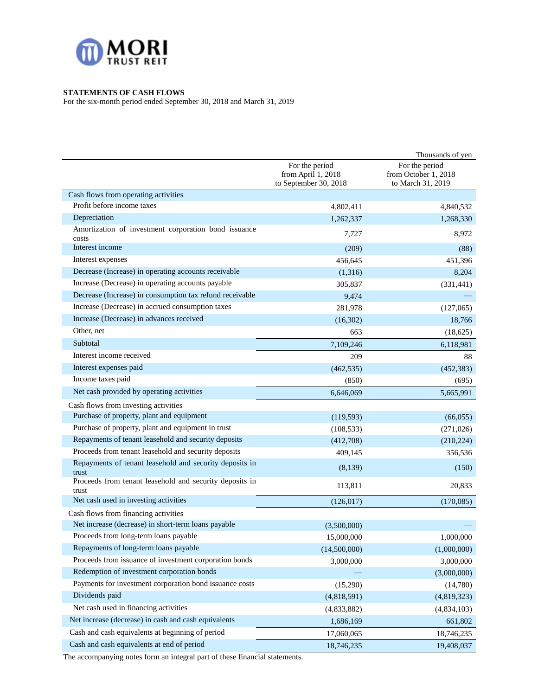

# **STATEMENTS OF CASH FLOWS**

For the six-month period ended September 30, 2018 and March 31, 2019

|                                                                  |                                                               | Thousands of yen                                            |
|------------------------------------------------------------------|---------------------------------------------------------------|-------------------------------------------------------------|
|                                                                  | For the period<br>from April 1, 2018<br>to September 30, 2018 | For the period<br>from October 1, 2018<br>to March 31, 2019 |
| Cash flows from operating activities                             |                                                               |                                                             |
| Profit before income taxes                                       | 4,802,411                                                     | 4,840,532                                                   |
| Depreciation                                                     | 1,262,337                                                     | 1,268,330                                                   |
| Amortization of investment corporation bond issuance<br>costs    | 7,727                                                         | 8,972                                                       |
| Interest income                                                  | (209)                                                         | (88)                                                        |
| Interest expenses                                                | 456,645                                                       | 451,396                                                     |
| Decrease (Increase) in operating accounts receivable             | (1,316)                                                       | 8,204                                                       |
| Increase (Decrease) in operating accounts payable                | 305,837                                                       | (331, 441)                                                  |
| Decrease (Increase) in consumption tax refund receivable         | 9,474                                                         |                                                             |
| Increase (Decrease) in accrued consumption taxes                 | 281,978                                                       | (127,065)                                                   |
| Increase (Decrease) in advances received                         | (16,302)                                                      | 18,766                                                      |
| Other, net                                                       | 663                                                           | (18, 625)                                                   |
| Subtotal                                                         | 7,109,246                                                     | 6,118,981                                                   |
| Interest income received                                         | 209                                                           | 88                                                          |
| Interest expenses paid                                           | (462, 535)                                                    | (452, 383)                                                  |
| Income taxes paid                                                | (850)                                                         | (695)                                                       |
| Net cash provided by operating activities                        | 6,646,069                                                     | 5,665,991                                                   |
| Cash flows from investing activities                             |                                                               |                                                             |
| Purchase of property, plant and equipment                        | (119, 593)                                                    | (66,055)                                                    |
| Purchase of property, plant and equipment in trust               | (108, 533)                                                    | (271, 026)                                                  |
| Repayments of tenant leasehold and security deposits             | (412,708)                                                     | (210, 224)                                                  |
| Proceeds from tenant leasehold and security deposits             | 409,145                                                       | 356,536                                                     |
| Repayments of tenant leasehold and security deposits in<br>trust | (8,139)                                                       | (150)                                                       |
| Proceeds from tenant leasehold and security deposits in<br>trust | 113,811                                                       | 20,833                                                      |
| Net cash used in investing activities                            | (126, 017)                                                    | (170,085)                                                   |
| Cash flows from financing activities                             |                                                               |                                                             |
| Net increase (decrease) in short-term loans payable              | (3,500,000)                                                   |                                                             |
| Proceeds from long-term loans payable                            | 15,000,000                                                    | 1,000,000                                                   |
| Repayments of long-term loans payable                            | (14,500,000)                                                  | (1,000,000)                                                 |
| Proceeds from issuance of investment corporation bonds           | 3,000,000                                                     | 3,000,000                                                   |
| Redemption of investment corporation bonds                       |                                                               | (3,000,000)                                                 |
| Payments for investment corporation bond issuance costs          | (15,290)                                                      | (14,780)                                                    |
| Dividends paid                                                   | (4,818,591)                                                   | (4,819,323)                                                 |
| Net cash used in financing activities                            | (4,833,882)                                                   | (4,834,103)                                                 |
| Net increase (decrease) in cash and cash equivalents             | 1,686,169                                                     | 661,802                                                     |
| Cash and cash equivalents at beginning of period                 | 17,060,065                                                    | 18,746,235                                                  |
| Cash and cash equivalents at end of period                       | 18,746,235                                                    | 19,408,037                                                  |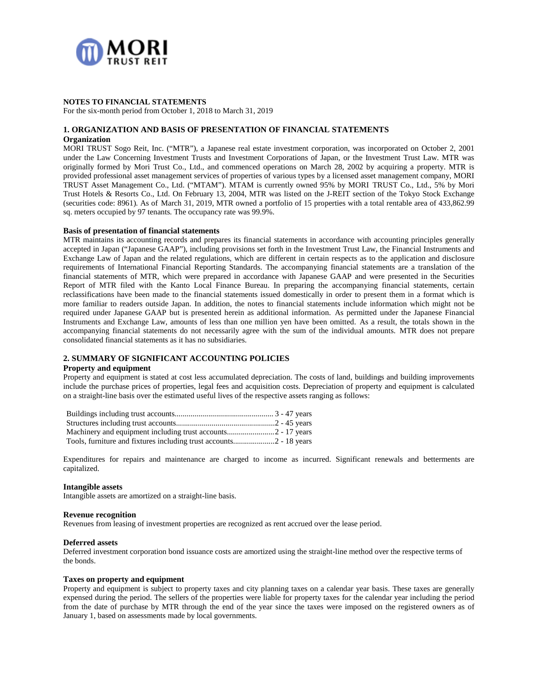

## **NOTES TO FINANCIAL STATEMENTS**

For the six-month period from October 1, 2018 to March 31, 2019

## **1. ORGANIZATION AND BASIS OF PRESENTATION OF FINANCIAL STATEMENTS**

## **Organization**

MORI TRUST Sogo Reit, Inc. ("MTR"), a Japanese real estate investment corporation, was incorporated on October 2, 2001 under the Law Concerning Investment Trusts and Investment Corporations of Japan, or the Investment Trust Law. MTR was originally formed by Mori Trust Co., Ltd., and commenced operations on March 28, 2002 by acquiring a property. MTR is provided professional asset management services of properties of various types by a licensed asset management company, MORI TRUST Asset Management Co., Ltd. ("MTAM"). MTAM is currently owned 95% by MORI TRUST Co., Ltd., 5% by Mori Trust Hotels & Resorts Co., Ltd. On February 13, 2004, MTR was listed on the J-REIT section of the Tokyo Stock Exchange (securities code: 8961). As of March 31, 2019, MTR owned a portfolio of 15 properties with a total rentable area of 433,862.99 sq. meters occupied by 97 tenants. The occupancy rate was 99.9%.

### **Basis of presentation of financial statements**

MTR maintains its accounting records and prepares its financial statements in accordance with accounting principles generally accepted in Japan ("Japanese GAAP"), including provisions set forth in the Investment Trust Law, the Financial Instruments and Exchange Law of Japan and the related regulations, which are different in certain respects as to the application and disclosure requirements of International Financial Reporting Standards. The accompanying financial statements are a translation of the financial statements of MTR, which were prepared in accordance with Japanese GAAP and were presented in the Securities Report of MTR filed with the Kanto Local Finance Bureau. In preparing the accompanying financial statements, certain reclassifications have been made to the financial statements issued domestically in order to present them in a format which is more familiar to readers outside Japan. In addition, the notes to financial statements include information which might not be required under Japanese GAAP but is presented herein as additional information. As permitted under the Japanese Financial Instruments and Exchange Law, amounts of less than one million yen have been omitted. As a result, the totals shown in the accompanying financial statements do not necessarily agree with the sum of the individual amounts. MTR does not prepare consolidated financial statements as it has no subsidiaries.

## **2. SUMMARY OF SIGNIFICANT ACCOUNTING POLICIES**

### **Property and equipment**

Property and equipment is stated at cost less accumulated depreciation. The costs of land, buildings and building improvements include the purchase prices of properties, legal fees and acquisition costs. Depreciation of property and equipment is calculated on a straight-line basis over the estimated useful lives of the respective assets ranging as follows:

Expenditures for repairs and maintenance are charged to income as incurred. Significant renewals and betterments are capitalized.

### **Intangible assets**

Intangible assets are amortized on a straight-line basis.

### **Revenue recognition**

Revenues from leasing of investment properties are recognized as rent accrued over the lease period.

### **Deferred assets**

Deferred investment corporation bond issuance costs are amortized using the straight-line method over the respective terms of the bonds.

### **Taxes on property and equipment**

Property and equipment is subject to property taxes and city planning taxes on a calendar year basis. These taxes are generally expensed during the period. The sellers of the properties were liable for property taxes for the calendar year including the period from the date of purchase by MTR through the end of the year since the taxes were imposed on the registered owners as of January 1, based on assessments made by local governments.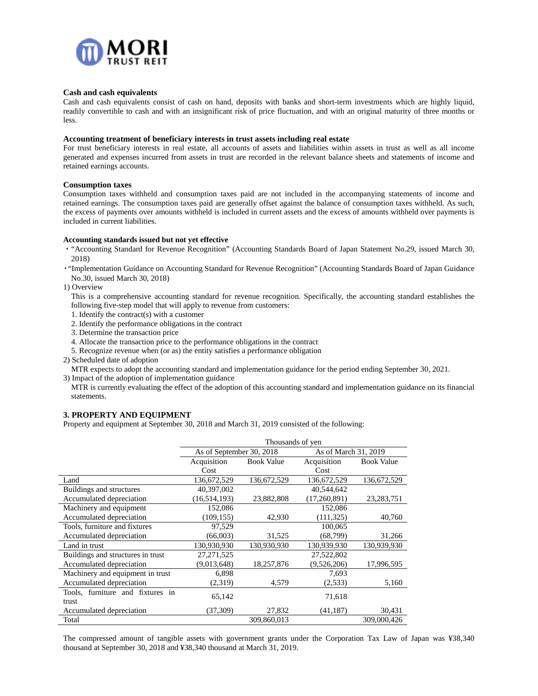

## **Cash and cash equivalents**

Cash and cash equivalents consist of cash on hand, deposits with banks and short-term investments which are highly liquid, readily convertible to cash and with an insignificant risk of price fluctuation, and with an original maturity of three months or less.

#### **Accounting treatment of beneficiary interests in trust assets including real estate**

For trust beneficiary interests in real estate, all accounts of assets and liabilities within assets in trust as well as all income generated and expenses incurred from assets in trust are recorded in the relevant balance sheets and statements of income and retained earnings accounts.

### **Consumption taxes**

Consumption taxes withheld and consumption taxes paid are not included in the accompanying statements of income and retained earnings. The consumption taxes paid are generally offset against the balance of consumption taxes withheld. As such, the excess of payments over amounts withheld is included in current assets and the excess of amounts withheld over payments is included in current liabilities.

#### **Accounting standards issued but not yet effective**

- ・"Accounting Standard for Revenue Recognition" (Accounting Standards Board of Japan Statement No.29, issued March 30, 2018)
- ・"Implementation Guidance on Accounting Standard for Revenue Recognition" (Accounting Standards Board of Japan Guidance No.30, issued March 30, 2018)

1) Overview

 This is a comprehensive accounting standard for revenue recognition. Specifically, the accounting standard establishes the following five-step model that will apply to revenue from customers:

- 1. Identify the contract(s) with a customer
- 2. Identify the performance obligations in the contract
- 3. Determine the transaction price
- 4. Allocate the transaction price to the performance obligations in the contract
- 5. Recognize revenue when (or as) the entity satisfies a performance obligation
- 2) Scheduled date of adoption
	- MTR expects to adopt the accounting standard and implementation guidance for the period ending September 30, 2021.
- 3) Impact of the adoption of implementation guidance

 MTR is currently evaluating the effect of the adoption of this accounting standard and implementation guidance on its financial statements.

### **3. PROPERTY AND EQUIPMENT**

Property and equipment at September 30, 2018 and March 31, 2019 consisted of the following:

|                                   |                          | Thousands of yen  |                      |                   |
|-----------------------------------|--------------------------|-------------------|----------------------|-------------------|
|                                   | As of September 30, 2018 |                   | As of March 31, 2019 |                   |
|                                   | Acquisition              | <b>Book Value</b> | Acquisition          | <b>Book Value</b> |
|                                   | Cost                     |                   | Cost                 |                   |
| Land                              | 136,672,529              | 136,672,529       | 136,672,529          | 136,672,529       |
| Buildings and structures          | 40,397,002               |                   | 40,544,642           |                   |
| Accumulated depreciation          | (16, 514, 193)           | 23,882,808        | (17,260,891)         | 23, 283, 751      |
| Machinery and equipment           | 152,086                  |                   | 152,086              |                   |
| Accumulated depreciation          | (109, 155)               | 42,930            | (111, 325)           | 40,760            |
| Tools, furniture and fixtures     | 97,529                   |                   | 100,065              |                   |
| Accumulated depreciation          | (66,003)                 | 31,525            | (68, 799)            | 31,266            |
| Land in trust                     | 130,930,930              | 130,930,930       | 130,939,930          | 130,939,930       |
| Buildings and structures in trust | 27, 271, 525             |                   | 27,522,802           |                   |
| Accumulated depreciation          | (9,013,648)              | 18,257,876        | (9,526,206)          | 17,996,595        |
| Machinery and equipment in trust  | 6,898                    |                   | 7,693                |                   |
| Accumulated depreciation          | (2,319)                  | 4,579             | (2,533)              | 5,160             |
| Tools, furniture and fixtures in  | 65,142                   |                   | 71,618               |                   |
| trust                             |                          |                   |                      |                   |
| Accumulated depreciation          | (37,309)                 | 27,832            | (41, 187)            | 30,431            |
| Total                             |                          | 309,860,013       |                      | 309,000,426       |

The compressed amount of tangible assets with government grants under the Corporation Tax Law of Japan was ¥38,340 thousand at September 30, 2018 and ¥38,340 thousand at March 31, 2019.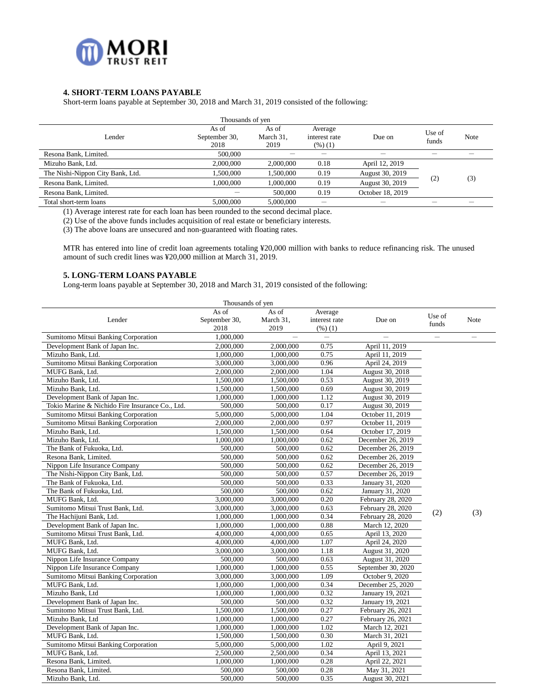

## **4. SHORT**-**TERM LOANS PAYABLE**

Short-term loans payable at September 30, 2018 and March 31, 2019 consisted of the following:

|                                  | Thousands of yen               |                            |                                     |                  |                 |      |
|----------------------------------|--------------------------------|----------------------------|-------------------------------------|------------------|-----------------|------|
| Lender                           | As of<br>September 30,<br>2018 | As of<br>March 31,<br>2019 | Average<br>interest rate<br>(%) (1) | Due on           | Use of<br>funds | Note |
| Resona Bank, Limited.            | 500,000                        |                            | _                                   |                  |                 |      |
| Mizuho Bank, Ltd.                | 2,000,000                      | 2,000,000                  | 0.18                                | April 12, 2019   |                 |      |
| The Nishi-Nippon City Bank, Ltd. | 1.500.000                      | 1.500.000                  | 0.19                                | August 30, 2019  |                 |      |
| Resona Bank, Limited.            | 1.000.000                      | 1,000,000                  | 0.19                                | August 30, 2019  | (2)             | (3)  |
| Resona Bank, Limited.            |                                | 500,000                    | 0.19                                | October 18, 2019 |                 |      |
| Total short-term loans           | 5,000,000                      | 5,000,000                  |                                     |                  |                 |      |

(1) Average interest rate for each loan has been rounded to the second decimal place.

(2) Use of the above funds includes acquisition of real estate or beneficiary interests.

(3) The above loans are unsecured and non-guaranteed with floating rates.

MTR has entered into line of credit loan agreements totaling ¥20,000 million with banks to reduce refinancing risk. The unused amount of such credit lines was ¥20,000 million at March 31, 2019.

## **5. LONG**-**TERM LOANS PAYABLE**

Long-term loans payable at September 30, 2018 and March 31, 2019 consisted of the following:

|                                                 | Thousands of yen               |                            |                                     |                    |                 |                          |
|-------------------------------------------------|--------------------------------|----------------------------|-------------------------------------|--------------------|-----------------|--------------------------|
| Lender                                          | As of<br>September 30,<br>2018 | As of<br>March 31,<br>2019 | Average<br>interest rate<br>(%) (1) | Due on             | Use of<br>funds | Note                     |
| Sumitomo Mitsui Banking Corporation             | 1,000,000                      |                            | $-$                                 |                    | $-$             | $\overline{\phantom{0}}$ |
| Development Bank of Japan Inc.                  | 2,000,000                      | 2,000,000                  | 0.75                                | April 11, 2019     |                 |                          |
| Mizuho Bank, Ltd.                               | 1,000,000                      | 1,000,000                  | 0.75                                | April 11, 2019     |                 |                          |
| Sumitomo Mitsui Banking Corporation             | 3,000,000                      | 3,000,000                  | 0.96                                | April 24, 2019     |                 |                          |
| MUFG Bank, Ltd.                                 | 2,000,000                      | 2,000,000                  | 1.04                                | August 30, 2018    |                 |                          |
| Mizuho Bank, Ltd.                               | 1,500,000                      | 1,500,000                  | 0.53                                | August 30, 2019    |                 |                          |
| Mizuho Bank, Ltd.                               | 1,500,000                      | 1,500,000                  | 0.69                                | August 30, 2019    |                 |                          |
| Development Bank of Japan Inc.                  | 1,000,000                      | 1,000,000                  | 1.12                                | August 30, 2019    |                 |                          |
| Tokio Marine & Nichido Fire Insurance Co., Ltd. | 500,000                        | 500,000                    | 0.17                                | August 30, 2019    |                 |                          |
| Sumitomo Mitsui Banking Corporation             | 5,000,000                      | 5,000,000                  | 1.04                                | October 11, 2019   |                 |                          |
| Sumitomo Mitsui Banking Corporation             | 2,000,000                      | 2,000,000                  | 0.97                                | October 11, 2019   |                 |                          |
| Mizuho Bank, Ltd.                               | 1,500,000                      | 1,500,000                  | 0.64                                | October 17, 2019   |                 |                          |
| Mizuho Bank, Ltd.                               | 1,000,000                      | 1,000,000                  | 0.62                                | December 26, 2019  |                 |                          |
| The Bank of Fukuoka, Ltd.                       | 500,000                        | 500,000                    | 0.62                                | December 26, 2019  |                 |                          |
| Resona Bank, Limited.                           | 500,000                        | 500,000                    | 0.62                                | December 26, 2019  |                 |                          |
| Nippon Life Insurance Company                   | 500,000                        | 500,000                    | 0.62                                | December 26, 2019  |                 |                          |
| The Nishi-Nippon City Bank, Ltd.                | 500,000                        | 500,000                    | 0.57                                | December 26, 2019  |                 |                          |
| The Bank of Fukuoka, Ltd.                       | 500,000                        | 500,000                    | 0.33                                | January 31, 2020   |                 |                          |
| The Bank of Fukuoka, Ltd.                       | 500,000                        | 500,000                    | 0.62                                | January 31, 2020   |                 |                          |
| MUFG Bank, Ltd.                                 | 3,000,000                      | 3,000,000                  | 0.20                                | February 28, 2020  |                 |                          |
| Sumitomo Mitsui Trust Bank, Ltd.                | 3,000,000                      | 3,000,000                  | 0.63                                | February 28, 2020  |                 |                          |
| The Hachijuni Bank, Ltd.                        | 1,000,000                      | 1,000,000                  | 0.34                                | February 28, 2020  | (2)             | (3)                      |
| Development Bank of Japan Inc.                  | 1,000,000                      | 1,000,000                  | 0.88                                | March 12, 2020     |                 |                          |
| Sumitomo Mitsui Trust Bank, Ltd.                | 4,000,000                      | 4,000,000                  | 0.65                                | April 13, 2020     |                 |                          |
| MUFG Bank, Ltd.                                 | 4,000,000                      | 4,000,000                  | 1.07                                | April 24, 2020     |                 |                          |
| MUFG Bank, Ltd.                                 | 3,000,000                      | 3,000,000                  | 1.18                                | August 31, 2020    |                 |                          |
| Nippon Life Insurance Company                   | 500,000                        | 500,000                    | 0.63                                | August 31, 2020    |                 |                          |
| Nippon Life Insurance Company                   | 1,000,000                      | 1,000,000                  | 0.55                                | September 30, 2020 |                 |                          |
| Sumitomo Mitsui Banking Corporation             | 3,000,000                      | 3,000,000                  | 1.09                                | October 9, 2020    |                 |                          |
| MUFG Bank, Ltd.                                 | 1,000,000                      | 1,000,000                  | 0.34                                | December 25, 2020  |                 |                          |
| Mizuho Bank, Ltd                                | 1,000,000                      | 1,000,000                  | 0.32                                | January 19, 2021   |                 |                          |
| Development Bank of Japan Inc.                  | 500,000                        | 500,000                    | 0.32                                | January 19, 2021   |                 |                          |
| Sumitomo Mitsui Trust Bank, Ltd.                | 1,500,000                      | 1,500,000                  | 0.27                                | February 26, 2021  |                 |                          |
| Mizuho Bank, Ltd                                | 1,000,000                      | 1,000,000                  | 0.27                                | February 26, 2021  |                 |                          |
| Development Bank of Japan Inc.                  | 1,000,000                      | 1,000,000                  | 1.02                                | March 12, 2021     |                 |                          |
| MUFG Bank, Ltd.                                 | 1,500,000                      | 1,500,000                  | 0.30                                | March 31, 2021     |                 |                          |
| Sumitomo Mitsui Banking Corporation             | 5,000,000                      | 5,000,000                  | 1.02                                | April 9, 2021      |                 |                          |
| MUFG Bank, Ltd.                                 | 2,500,000                      | 2,500,000                  | 0.34                                | April 13, 2021     |                 |                          |
| Resona Bank, Limited.                           | 1,000,000                      | 1,000,000                  | 0.28                                | April 22, 2021     |                 |                          |
| Resona Bank, Limited.                           | 500,000                        | 500,000                    | 0.28                                | May 31, 2021       |                 |                          |
| Mizuho Bank, Ltd.                               | 500,000                        | 500,000                    | 0.35                                | August 30, 2021    |                 |                          |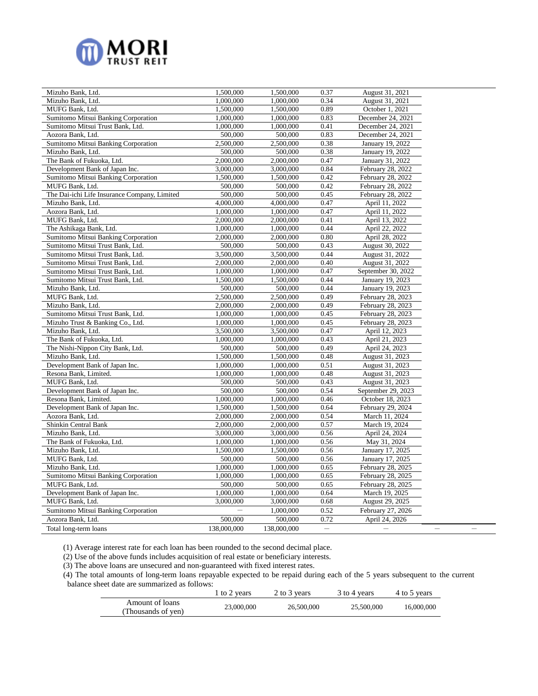

| Mizuho Bank, Ltd.                            | 1,500,000   | 1,500,000   | 0.37                     | August 31, 2021    |
|----------------------------------------------|-------------|-------------|--------------------------|--------------------|
| Mizuho Bank, Ltd.                            | 1,000,000   | 1,000,000   | 0.34                     | August 31, 2021    |
| MUFG Bank, Ltd.                              | 1,500,000   | 1,500,000   | 0.89                     | October 1, 2021    |
| Sumitomo Mitsui Banking Corporation          | 1,000,000   | 1,000,000   | 0.83                     | December 24, 2021  |
| Sumitomo Mitsui Trust Bank, Ltd.             | 1,000,000   | 1,000,000   | 0.41                     | December 24, 2021  |
| Aozora Bank, Ltd.                            | 500,000     | 500,000     | 0.83                     | December 24, 2021  |
| Sumitomo Mitsui Banking Corporation          | 2,500,000   | 2,500,000   | 0.38                     | January 19, 2022   |
| Mizuho Bank, Ltd.                            | 500,000     | 500,000     | 0.38                     | January 19, 2022   |
| The Bank of Fukuoka, Ltd.                    | 2,000,000   | 2,000,000   | 0.47                     | January 31, 2022   |
| Development Bank of Japan Inc.               | 3,000,000   | 3,000,000   | 0.84                     | February 28, 2022  |
| Sumitomo Mitsui Banking Corporation          | 1,500,000   | 1,500,000   | 0.42                     | February 28, 2022  |
| MUFG Bank, Ltd.                              | 500,000     | 500,000     | 0.42                     | February 28, 2022  |
| The Dai-ichi Life Insurance Company, Limited | 500,000     | 500,000     | 0.45                     | February 28, 2022  |
| Mizuho Bank, Ltd.                            | 4,000,000   | 4,000,000   | 0.47                     | April 11, 2022     |
| Aozora Bank, Ltd.                            | 1,000,000   | 1,000,000   | 0.47                     | April 11, 2022     |
| MUFG Bank, Ltd.                              | 2,000,000   | 2,000,000   | 0.41                     | April 13, 2022     |
| The Ashikaga Bank, Ltd.                      | 1,000,000   | 1,000,000   | 0.44                     | April 22, 2022     |
| Sumitomo Mitsui Banking Corporation          | 2,000,000   | 2,000,000   | 0.80                     | April 28, 2022     |
| Sumitomo Mitsui Trust Bank, Ltd.             | 500,000     | 500,000     | 0.43                     | August 30, 2022    |
| Sumitomo Mitsui Trust Bank, Ltd.             | 3,500,000   | 3,500,000   | 0.44                     | August 31, 2022    |
| Sumitomo Mitsui Trust Bank, Ltd.             | 2,000,000   | 2,000,000   | 0.40                     | August 31, 2022    |
| Sumitomo Mitsui Trust Bank, Ltd.             | 1,000,000   | 1,000,000   | 0.47                     | September 30, 2022 |
| Sumitomo Mitsui Trust Bank, Ltd.             | 1,500,000   | 1,500,000   | 0.44                     | January 19, 2023   |
| Mizuho Bank, Ltd.                            | 500,000     | 500,000     | 0.44                     | January 19, 2023   |
| MUFG Bank, Ltd.                              | 2,500,000   | 2,500,000   | 0.49                     | February 28, 2023  |
| Mizuho Bank, Ltd.                            | 2,000,000   | 2,000,000   | 0.49                     | February 28, 2023  |
| Sumitomo Mitsui Trust Bank, Ltd.             | 1,000,000   | 1,000,000   | 0.45                     | February 28, 2023  |
| Mizuho Trust & Banking Co., Ltd.             | 1,000,000   | 1,000,000   | 0.45                     | February 28, 2023  |
| Mizuho Bank, Ltd.                            | 3,500,000   | 3,500,000   | 0.47                     | April 12, 2023     |
| The Bank of Fukuoka, Ltd.                    | 1,000,000   | 1,000,000   | 0.43                     | April 21, 2023     |
| The Nishi-Nippon City Bank, Ltd.             | 500,000     | 500,000     | 0.49                     | April 24, 2023     |
| Mizuho Bank, Ltd.                            | 1,500,000   | 1,500,000   | 0.48                     | August 31, 2023    |
| Development Bank of Japan Inc.               | 1,000,000   | 1,000,000   | 0.51                     | August 31, 2023    |
| Resona Bank, Limited.                        | 1.000.000   | 1,000,000   | 0.48                     | August 31, 2023    |
| MUFG Bank, Ltd.                              | 500,000     | 500,000     | 0.43                     | August 31, 2023    |
| Development Bank of Japan Inc.               | 500,000     | 500,000     | 0.54                     | September 29, 2023 |
| Resona Bank, Limited.                        | 1.000.000   | 1.000.000   | 0.46                     | October 18, 2023   |
| Development Bank of Japan Inc.               | 1,500,000   | 1,500,000   | 0.64                     | February 29, 2024  |
| Aozora Bank, Ltd.                            | 2,000,000   | 2,000,000   | 0.54                     | March 11, 2024     |
| Shinkin Central Bank                         | 2,000,000   | 2,000,000   | 0.57                     | March 19, 2024     |
| Mizuho Bank, Ltd.                            | 3,000,000   | 3,000,000   | 0.56                     | April 24, 2024     |
| The Bank of Fukuoka, Ltd.                    | 1,000,000   | 1,000,000   | 0.56                     | May 31, 2024       |
| Mizuho Bank, Ltd.                            | 1,500,000   | 1,500,000   | 0.56                     | January 17, 2025   |
| MUFG Bank, Ltd.                              | 500,000     | 500,000     | 0.56                     | January 17, 2025   |
| Mizuho Bank, Ltd.                            | 1,000,000   | 1,000,000   | 0.65                     | February 28, 2025  |
| Sumitomo Mitsui Banking Corporation          | 1,000,000   | 1,000,000   | 0.65                     | February 28, 2025  |
| MUFG Bank, Ltd.                              | 500,000     | 500,000     | 0.65                     | February 28, 2025  |
| Development Bank of Japan Inc.               | 1,000,000   | 1,000,000   | 0.64                     | March 19, 2025     |
| MUFG Bank, Ltd.                              | 3,000,000   | 3,000,000   | 0.68                     | August 29, 2025    |
|                                              |             | 1,000,000   | 0.52                     |                    |
| Sumitomo Mitsui Banking Corporation          |             |             |                          | February 27, 2026  |
| Aozora Bank, Ltd.                            | 500,000     | 500,000     | 0.72                     | April 24, 2026     |
| Total long-term loans                        | 138,000,000 | 138,000,000 | $\overline{\phantom{0}}$ |                    |

(1) Average interest rate for each loan has been rounded to the second decimal place.

(2) Use of the above funds includes acquisition of real estate or beneficiary interests.

(3) The above loans are unsecured and non-guaranteed with fixed interest rates.

(4) The total amounts of long-term loans repayable expected to be repaid during each of the 5 years subsequent to the current balance sheet date are summarized as follows:

|                    | l to 2 years | 2 to 3 years | 3 to 4 years | 4 to 5 years |
|--------------------|--------------|--------------|--------------|--------------|
| Amount of loans    | 23,000,000   | 26,500,000   | 25,500,000   | 16.000.000   |
| (Thousands of yen) |              |              |              |              |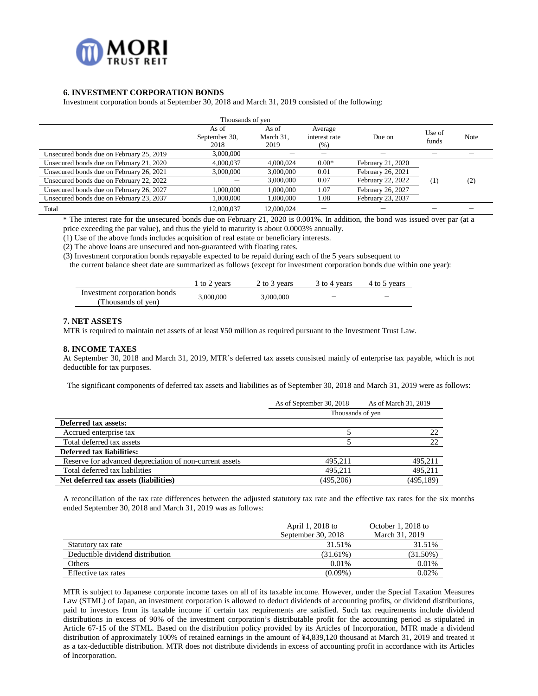

## **6. INVESTMENT CORPORATION BONDS**

Investment corporation bonds at September 30, 2018 and March 31, 2019 consisted of the following:

| Thousands of yen                         |                                |                            |                                 |                   |                 |      |
|------------------------------------------|--------------------------------|----------------------------|---------------------------------|-------------------|-----------------|------|
|                                          | As of<br>September 30,<br>2018 | As of<br>March 31,<br>2019 | Average<br>interest rate<br>(%) | Due on            | Use of<br>funds | Note |
| Unsecured bonds due on February 25, 2019 | 3,000,000                      |                            |                                 |                   |                 |      |
| Unsecured bonds due on February 21, 2020 | 4,000,037                      | 4.000.024                  | $0.00*$                         | February 21, 2020 |                 |      |
| Unsecured bonds due on February 26, 2021 | 3,000,000                      | 3,000,000                  | 0.01                            | February 26, 2021 |                 |      |
| Unsecured bonds due on February 22, 2022 |                                | 3,000,000                  | 0.07                            | February 22, 2022 | (1)             | (2)  |
| Unsecured bonds due on February 26, 2027 | 1.000.000                      | 1.000.000                  | 1.07                            | February 26, 2027 |                 |      |
| Unsecured bonds due on February 23, 2037 | 1,000,000                      | 1,000,000                  | 1.08                            | February 23, 2037 |                 |      |
| Total                                    | 12,000,037                     | 12.000.024                 |                                 |                   |                 |      |

\* The interest rate for the unsecured bonds due on February 21, 2020 is 0.001%. In addition, the bond was issued over par (at a price exceeding the par value), and thus the yield to maturity is about 0.0003% annually.

(1) Use of the above funds includes acquisition of real estate or beneficiary interests.

(2) The above loans are unsecured and non-guaranteed with floating rates.

(3) Investment corporation bonds repayable expected to be repaid during each of the 5 years subsequent to

the current balance sheet date are summarized as follows (except for investment corporation bonds due within one year):

|                                                    | to 2 years | 2 to 3 years | 3 to 4 years             | 4 to 5 years |
|----------------------------------------------------|------------|--------------|--------------------------|--------------|
| Investment corporation bonds<br>(Thousands of yen) | 3.000.000  | 3,000,000    | $\overline{\phantom{a}}$ |              |

## **7. NET ASSETS**

MTR is required to maintain net assets of at least ¥50 million as required pursuant to the Investment Trust Law.

### **8. INCOME TAXES**

At September 30, 2018 and March 31, 2019, MTR's deferred tax assets consisted mainly of enterprise tax payable, which is not deductible for tax purposes.

The significant components of deferred tax assets and liabilities as of September 30, 2018 and March 31, 2019 were as follows:

|                                                         | As of September 30, 2018 | As of March 31, 2019 |  |
|---------------------------------------------------------|--------------------------|----------------------|--|
|                                                         | Thousands of yen         |                      |  |
| Deferred tax assets:                                    |                          |                      |  |
| Accrued enterprise tax                                  |                          | 22                   |  |
| Total deferred tax assets                               |                          | 22                   |  |
| <b>Deferred tax liabilities:</b>                        |                          |                      |  |
| Reserve for advanced depreciation of non-current assets | 495.211                  | 495,211              |  |
| Total deferred tax liabilities                          | 495.211                  | 495,211              |  |
| Net deferred tax assets (liabilities)                   | (495, 206)               | (495,189)            |  |

A reconciliation of the tax rate differences between the adjusted statutory tax rate and the effective tax rates for the six months ended September 30, 2018 and March 31, 2019 was as follows:

|                                  | April 1, 2018 to   | October 1, 2018 to |
|----------------------------------|--------------------|--------------------|
|                                  | September 30, 2018 | March 31, 2019     |
| Statutory tax rate               | 31.51%             | 31.51%             |
| Deductible dividend distribution | $(31.61\%)$        | $(31.50\%)$        |
| Others                           | $0.01\%$           | 0.01%              |
| Effective tax rates              | $(0.09\%)$         | 0.02%              |

MTR is subject to Japanese corporate income taxes on all of its taxable income. However, under the Special Taxation Measures Law (STML) of Japan, an investment corporation is allowed to deduct dividends of accounting profits, or dividend distributions, paid to investors from its taxable income if certain tax requirements are satisfied. Such tax requirements include dividend distributions in excess of 90% of the investment corporation's distributable profit for the accounting period as stipulated in Article 67-15 of the STML. Based on the distribution policy provided by its Articles of Incorporation, MTR made a dividend distribution of approximately 100% of retained earnings in the amount of ¥4,839,120 thousand at March 31, 2019 and treated it as a tax-deductible distribution. MTR does not distribute dividends in excess of accounting profit in accordance with its Articles of Incorporation.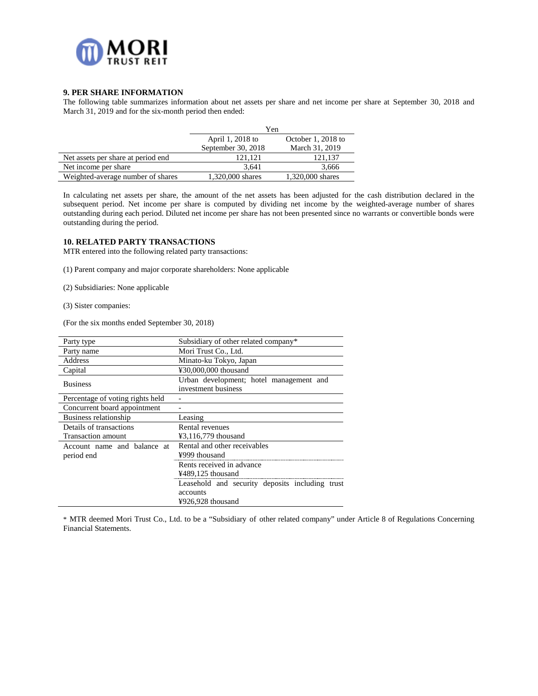

## **9. PER SHARE INFORMATION**

The following table summarizes information about net assets per share and net income per share at September 30, 2018 and March 31, 2019 and for the six-month period then ended:

|                                     | Yen                |                    |  |
|-------------------------------------|--------------------|--------------------|--|
|                                     | April 1, 2018 to   | October 1, 2018 to |  |
|                                     | September 30, 2018 | March 31, 2019     |  |
| Net assets per share at period end. | 121.121            | 121.137            |  |
| Net income per share                | 3.641              | 3.666              |  |
| Weighted-average number of shares   | 1,320,000 shares   | 1,320,000 shares   |  |

In calculating net assets per share, the amount of the net assets has been adjusted for the cash distribution declared in the subsequent period. Net income per share is computed by dividing net income by the weighted-average number of shares outstanding during each period. Diluted net income per share has not been presented since no warrants or convertible bonds were outstanding during the period.

## **10. RELATED PARTY TRANSACTIONS**

MTR entered into the following related party transactions:

- (1) Parent company and major corporate shareholders: None applicable
- (2) Subsidiaries: None applicable
- (3) Sister companies:

(For the six months ended September 30, 2018)

| Party type                       | Subsidiary of other related company*                           |  |
|----------------------------------|----------------------------------------------------------------|--|
| Party name                       | Mori Trust Co., Ltd.                                           |  |
| Address                          | Minato-ku Tokyo, Japan                                         |  |
| Capital                          | ¥30,000,000 thousand                                           |  |
| <b>Business</b>                  | Urban development; hotel management and<br>investment business |  |
| Percentage of voting rights held |                                                                |  |
| Concurrent board appointment     |                                                                |  |
| Business relationship            | Leasing                                                        |  |
| Details of transactions          | Rental revenues                                                |  |
| <b>Transaction</b> amount        | $43,116,779$ thousand                                          |  |
| Account name and balance at      | Rental and other receivables                                   |  |
| period end                       | ¥999 thousand                                                  |  |
|                                  | Rents received in advance                                      |  |
|                                  | $4489,125$ thousand                                            |  |
|                                  | Leasehold and security deposits including trust                |  |
|                                  | accounts                                                       |  |
|                                  | ¥926,928 thousand                                              |  |

\* MTR deemed Mori Trust Co., Ltd. to be a "Subsidiary of other related company" under Article 8 of Regulations Concerning Financial Statements.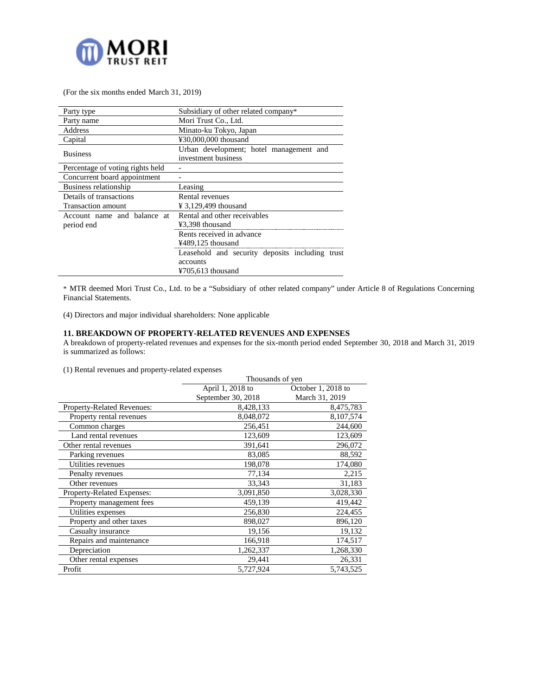

(For the six months ended March 31, 2019)

| Party type                       | Subsidiary of other related company*                           |  |
|----------------------------------|----------------------------------------------------------------|--|
| Party name                       | Mori Trust Co., Ltd.                                           |  |
| Address                          | Minato-ku Tokyo, Japan                                         |  |
| Capital                          | ¥30,000,000 thousand                                           |  |
| <b>Business</b>                  | Urban development; hotel management and<br>investment business |  |
| Percentage of voting rights held |                                                                |  |
| Concurrent board appointment     |                                                                |  |
| Business relationship            | Leasing                                                        |  |
| Details of transactions          | Rental revenues                                                |  |
| <b>Transaction amount</b>        | $\textnormal{\texttt{43.129.499}}$ thousand                    |  |
| Account name and balance at      | Rental and other receivables                                   |  |
| period end                       | ¥3,398 thousand                                                |  |
|                                  | Rents received in advance                                      |  |
|                                  | $4489,125$ thousand                                            |  |
|                                  | Leasehold and security deposits including trust                |  |
|                                  | accounts                                                       |  |
|                                  | ¥705,613 thousand                                              |  |

\* MTR deemed Mori Trust Co., Ltd. to be a "Subsidiary of other related company" under Article 8 of Regulations Concerning Financial Statements.

(4) Directors and major individual shareholders: None applicable

# **11. BREAKDOWN OF PROPERTY-RELATED REVENUES AND EXPENSES**

A breakdown of property-related revenues and expenses for the six-month period ended September 30, 2018 and March 31, 2019 is summarized as follows:

(1) Rental revenues and property-related expenses

|                                   | Thousands of yen   |                    |  |
|-----------------------------------|--------------------|--------------------|--|
|                                   | April 1, 2018 to   | October 1, 2018 to |  |
|                                   | September 30, 2018 | March 31, 2019     |  |
| <b>Property-Related Revenues:</b> | 8,428,133          | 8,475,783          |  |
| Property rental revenues          | 8,048,072          | 8,107,574          |  |
| Common charges                    | 256,451            | 244,600            |  |
| Land rental revenues              | 123,609            | 123,609            |  |
| Other rental revenues             | 391,641            | 296,072            |  |
| Parking revenues                  | 83,085             | 88,592             |  |
| Utilities revenues                | 198,078            | 174,080            |  |
| Penalty revenues                  | 77,134             | 2,215              |  |
| Other revenues                    | 33,343             | 31,183             |  |
| Property-Related Expenses:        | 3,091,850          | 3,028,330          |  |
| Property management fees          | 459,139            | 419,442            |  |
| Utilities expenses                | 256,830            | 224,455            |  |
| Property and other taxes          | 898,027            | 896,120            |  |
| Casualty insurance                | 19,156             | 19,132             |  |
| Repairs and maintenance           | 166,918            | 174,517            |  |
| Depreciation                      | 1,262,337          | 1,268,330          |  |
| Other rental expenses             | 29,441             | 26,331             |  |
| Profit                            | 5,727,924          | 5,743,525          |  |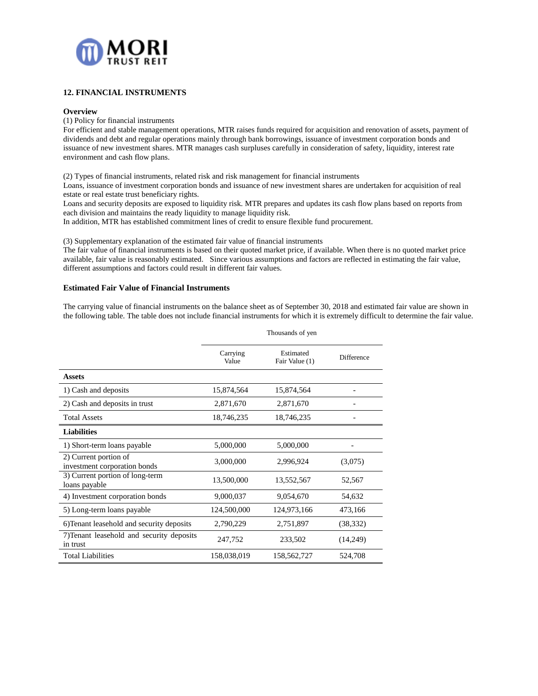

## **12. FINANCIAL INSTRUMENTS**

## **Overview**

(1) Policy for financial instruments

For efficient and stable management operations, MTR raises funds required for acquisition and renovation of assets, payment of dividends and debt and regular operations mainly through bank borrowings, issuance of investment corporation bonds and issuance of new investment shares. MTR manages cash surpluses carefully in consideration of safety, liquidity, interest rate environment and cash flow plans.

(2) Types of financial instruments, related risk and risk management for financial instruments

Loans, issuance of investment corporation bonds and issuance of new investment shares are undertaken for acquisition of real estate or real estate trust beneficiary rights.

Loans and security deposits are exposed to liquidity risk. MTR prepares and updates its cash flow plans based on reports from each division and maintains the ready liquidity to manage liquidity risk.

In addition, MTR has established commitment lines of credit to ensure flexible fund procurement.

(3) Supplementary explanation of the estimated fair value of financial instruments

The fair value of financial instruments is based on their quoted market price, if available. When there is no quoted market price available, fair value is reasonably estimated. Since various assumptions and factors are reflected in estimating the fair value, different assumptions and factors could result in different fair values.

## **Estimated Fair Value of Financial Instruments**

The carrying value of financial instruments on the balance sheet as of September 30, 2018 and estimated fair value are shown in the following table. The table does not include financial instruments for which it is extremely difficult to determine the fair value.

|                                                       | Carrying<br>Value | Estimated<br>Fair Value (1) | Difference |
|-------------------------------------------------------|-------------------|-----------------------------|------------|
| <b>Assets</b>                                         |                   |                             |            |
| 1) Cash and deposits                                  | 15,874,564        | 15,874,564                  |            |
| 2) Cash and deposits in trust                         | 2,871,670         | 2,871,670                   |            |
| <b>Total Assets</b>                                   | 18,746,235        | 18,746,235                  |            |
| <b>Liabilities</b>                                    |                   |                             |            |
| 1) Short-term loans payable                           | 5,000,000         | 5,000,000                   |            |
| 2) Current portion of<br>investment corporation bonds | 3,000,000         | 2,996,924                   | (3,075)    |
| 3) Current portion of long-term<br>loans payable      | 13,500,000        | 13,552,567                  | 52,567     |
| 4) Investment corporation bonds                       | 9,000,037         | 9,054,670                   | 54,632     |
| 5) Long-term loans payable                            | 124,500,000       | 124,973,166                 | 473,166    |
| 6) Tenant leasehold and security deposits             | 2,790,229         | 2,751,897                   | (38, 332)  |
| 7) Tenant leasehold and security deposits<br>in trust | 247,752           | 233,502                     | (14,249)   |
| <b>Total Liabilities</b>                              | 158,038,019       | 158,562,727                 | 524,708    |

Thousands of yen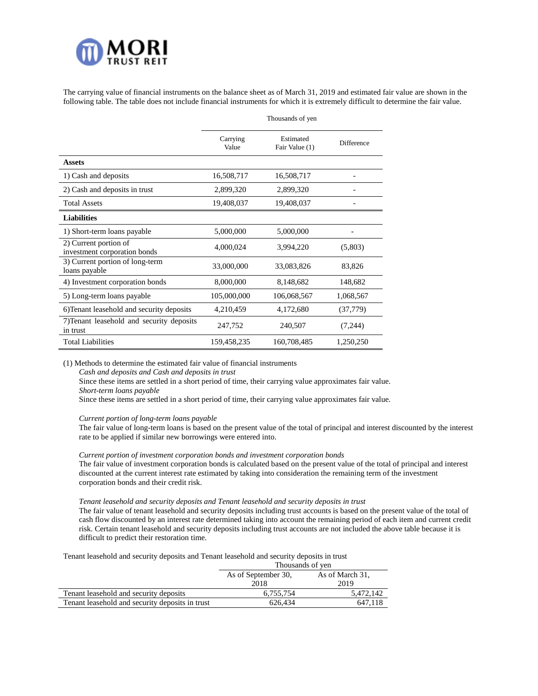

The carrying value of financial instruments on the balance sheet as of March 31, 2019 and estimated fair value are shown in the following table. The table does not include financial instruments for which it is extremely difficult to determine the fair value.

|                                                       | Thousands of yen  |                             |            |
|-------------------------------------------------------|-------------------|-----------------------------|------------|
|                                                       | Carrying<br>Value | Estimated<br>Fair Value (1) | Difference |
| Assets                                                |                   |                             |            |
| 1) Cash and deposits                                  | 16,508,717        | 16,508,717                  |            |
| 2) Cash and deposits in trust                         | 2,899,320         | 2,899,320                   |            |
| <b>Total Assets</b>                                   | 19,408,037        | 19,408,037                  |            |
| <b>Liabilities</b>                                    |                   |                             |            |
| 1) Short-term loans payable                           | 5,000,000         | 5,000,000                   |            |
| 2) Current portion of<br>investment corporation bonds | 4,000,024         | 3,994,220                   | (5,803)    |
| 3) Current portion of long-term<br>loans payable      | 33,000,000        | 33,083,826                  | 83,826     |
| 4) Investment corporation bonds                       | 8,000,000         | 8,148,682                   | 148,682    |
| 5) Long-term loans payable                            | 105,000,000       | 106,068,567                 | 1,068,567  |
| 6) Tenant leasehold and security deposits             | 4,210,459         | 4,172,680                   | (37, 779)  |
| 7) Tenant leasehold and security deposits<br>in trust | 247,752           | 240,507                     | (7,244)    |
| <b>Total Liabilities</b>                              | 159,458,235       | 160,708,485                 | 1,250,250  |

(1) Methods to determine the estimated fair value of financial instruments

*Cash and deposits and Cash and deposits in trust*

Since these items are settled in a short period of time, their carrying value approximates fair value. *Short-term loans payable*

Since these items are settled in a short period of time, their carrying value approximates fair value.

*Current portion of long-term loans payable* 

The fair value of long-term loans is based on the present value of the total of principal and interest discounted by the interest rate to be applied if similar new borrowings were entered into.

*Current portion of investment corporation bonds and investment corporation bonds*

The fair value of investment corporation bonds is calculated based on the present value of the total of principal and interest discounted at the current interest rate estimated by taking into consideration the remaining term of the investment corporation bonds and their credit risk.

#### *Tenant leasehold and security deposits and Tenant leasehold and security deposits in trust*

The fair value of tenant leasehold and security deposits including trust accounts is based on the present value of the total of cash flow discounted by an interest rate determined taking into account the remaining period of each item and current credit risk. Certain tenant leasehold and security deposits including trust accounts are not included the above table because it is difficult to predict their restoration time.

Tenant leasehold and security deposits and Tenant leasehold and security deposits in trust

|                                                 | Thousands of yen                       |           |  |
|-------------------------------------------------|----------------------------------------|-----------|--|
|                                                 | As of March 31,<br>As of September 30, |           |  |
|                                                 | 2018                                   | 2019      |  |
| Tenant leasehold and security deposits          | 6.755.754                              | 5.472.142 |  |
| Tenant leasehold and security deposits in trust | 626,434                                | 647.118   |  |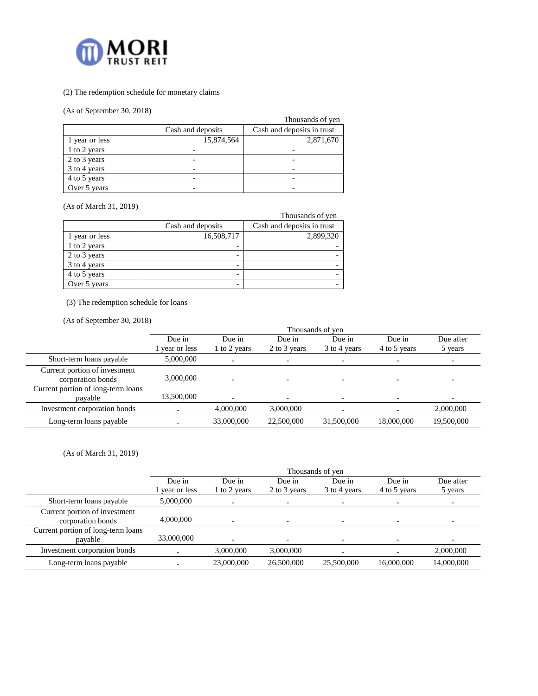

# (2) The redemption schedule for monetary claims

# (As of September 30, 2018)

|                |                   | Thousands of yen           |
|----------------|-------------------|----------------------------|
|                | Cash and deposits | Cash and deposits in trust |
| 1 year or less | 15,874,564        | 2,871,670                  |
| 1 to 2 years   |                   |                            |
| 2 to 3 years   |                   |                            |
| 3 to 4 years   |                   |                            |
| 4 to 5 years   |                   |                            |
| Over 5 years   |                   |                            |

(As of March 31, 2019)

|                |                          | Thousands of yen           |
|----------------|--------------------------|----------------------------|
|                | Cash and deposits        | Cash and deposits in trust |
| 1 year or less | 16,508,717               | 2,899,320                  |
| 1 to 2 years   | $\overline{\phantom{0}}$ |                            |
| 2 to 3 years   |                          |                            |
| 3 to 4 years   | -                        |                            |
| 4 to 5 years   | -                        |                            |
| Over 5 years   |                          |                            |

(3) The redemption schedule for loans

(As of September 30, 2018)

|                                                    | Thousands of yen |              |              |              |              |            |
|----------------------------------------------------|------------------|--------------|--------------|--------------|--------------|------------|
|                                                    | Due in           | Due in       | Due in       | Due in       | Due in       | Due after  |
|                                                    | year or less     | 1 to 2 years | 2 to 3 years | 3 to 4 years | 4 to 5 years | 5 years    |
| Short-term loans payable                           | 5,000,000        |              |              |              |              |            |
| Current portion of investment<br>corporation bonds | 3,000,000        |              |              |              |              |            |
| Current portion of long-term loans<br>payable      | 13,500,000       |              |              |              |              |            |
| Investment corporation bonds                       |                  | 4,000,000    | 3,000,000    |              |              | 2,000,000  |
| Long-term loans payable                            |                  | 33,000,000   | 22,500,000   | 31,500,000   | 18,000,000   | 19,500,000 |

(As of March 31, 2019)

|                                                    |              | Thousands of yen                     |                          |                          |                          |            |  |
|----------------------------------------------------|--------------|--------------------------------------|--------------------------|--------------------------|--------------------------|------------|--|
|                                                    | Due in       | Due in<br>Due in<br>Due in<br>Due in |                          |                          |                          | Due after  |  |
|                                                    | vear or less | 1 to 2 years                         | 2 to 3 years             | 3 to 4 years             | 4 to 5 years             | 5 years    |  |
| Short-term loans payable                           | 5,000,000    | $\overline{\phantom{a}}$             | $\overline{\phantom{0}}$ | $\overline{\phantom{0}}$ | $\overline{\phantom{0}}$ | -          |  |
| Current portion of investment<br>corporation bonds | 4,000,000    |                                      |                          |                          |                          |            |  |
| Current portion of long-term loans<br>payable      | 33,000,000   |                                      |                          |                          |                          |            |  |
| Investment corporation bonds                       |              | 3,000,000                            | 3,000,000                |                          |                          | 2,000,000  |  |
| Long-term loans payable                            |              | 23,000,000                           | 26,500,000               | 25,500,000               | 16,000,000               | 14,000,000 |  |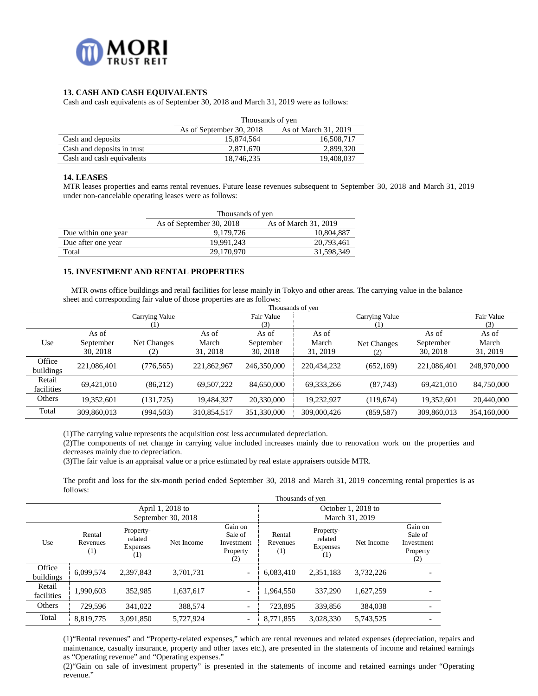

## **13. CASH AND CASH EQUIVALENTS**

Cash and cash equivalents as of September 30, 2018 and March 31, 2019 were as follows:

|                            | Thousands of yen     |            |  |  |
|----------------------------|----------------------|------------|--|--|
|                            | As of March 31, 2019 |            |  |  |
| Cash and deposits          | 15.874.564           | 16.508.717 |  |  |
| Cash and deposits in trust | 2,871,670            | 2,899,320  |  |  |
| Cash and cash equivalents  | 18,746,235           | 19,408,037 |  |  |

## **14. LEASES**

MTR leases properties and earns rental revenues. Future lease revenues subsequent to September 30, 2018 and March 31, 2019 under non-cancelable operating leases were as follows:

|                     | Thousands of yen         |                      |  |  |
|---------------------|--------------------------|----------------------|--|--|
|                     | As of September 30, 2018 | As of March 31, 2019 |  |  |
| Due within one year | 9.179.726                | 10,804,887           |  |  |
| Due after one year  | 19.991.243               | 20,793,461           |  |  |
| Total               | 29,170,970               | 31,598,349           |  |  |

## **15. INVESTMENT AND RENTAL PROPERTIES**

MTR owns office buildings and retail facilities for lease mainly in Tokyo and other areas. The carrying value in the balance sheet and corresponding fair value of those properties are as follows:

|                      | Thousands of yen |                |             |             |             |                |             |             |
|----------------------|------------------|----------------|-------------|-------------|-------------|----------------|-------------|-------------|
|                      |                  | Carrying Value |             | Fair Value  |             | Carrying Value |             | Fair Value  |
|                      |                  | $^{(1)}$       |             | (3)         |             | (1)            |             | (3)         |
|                      | As of            |                | As of       | As of       | As of       |                | As of       | As of       |
| Use                  | September        | Net Changes    | March       | September   | March       | Net Changes    | September   | March       |
|                      | 30, 2018         | (2)            | 31, 2018    | 30, 2018    | 31, 2019    | (2)            | 30, 2018    | 31, 2019    |
| Office<br>buildings  | 221,086,401      | (776, 565)     | 221,862,967 | 246,350,000 | 220,434,232 | (652, 169)     | 221,086,401 | 248,970,000 |
| Retail<br>facilities | 69.421.010       | (86,212)       | 69.507.222  | 84,650,000  | 69.333.266  | (87,743)       | 69.421,010  | 84,750,000  |
| Others               | 19.352.601       | (131, 725)     | 19.484.327  | 20,330,000  | 19.232.927  | (119,674)      | 19,352,601  | 20,440,000  |
| Total                | 309,860,013      | (994, 503)     | 310,854,517 | 351,330,000 | 309,000,426 | (859, 587)     | 309,860,013 | 354,160,000 |

(1)The carrying value represents the acquisition cost less accumulated depreciation.

(2)The components of net change in carrying value included increases mainly due to renovation work on the properties and decreases mainly due to depreciation.

(3)The fair value is an appraisal value or a price estimated by real estate appraisers outside MTR.

The profit and loss for the six-month period ended September 30, 2018 and March 31, 2019 concerning rental properties is as follows:

|                      | Thousands of yen          |                                                |                    |                                                     |                           |                                         |                |                                                     |
|----------------------|---------------------------|------------------------------------------------|--------------------|-----------------------------------------------------|---------------------------|-----------------------------------------|----------------|-----------------------------------------------------|
|                      |                           |                                                | April 1, 2018 to   |                                                     |                           | October 1, 2018 to                      |                |                                                     |
|                      |                           |                                                | September 30, 2018 |                                                     |                           |                                         | March 31, 2019 |                                                     |
| Use                  | Rental<br>Revenues<br>(1) | Property-<br>related<br><b>Expenses</b><br>(1) | Net Income         | Gain on<br>Sale of<br>Investment<br>Property<br>(2) | Rental<br>Revenues<br>(1) | Property-<br>related<br>Expenses<br>(1) | Net Income     | Gain on<br>Sale of<br>Investment<br>Property<br>(2) |
| Office<br>buildings  | 6.099.574                 | 2.397.843                                      | 3,701,731          | $\overline{\phantom{a}}$                            | 6,083,410                 | 2,351,183                               | 3,732,226      |                                                     |
| Retail<br>facilities | 1,990,603                 | 352,985                                        | 1.637.617          | $\overline{\phantom{a}}$                            | 1.964.550                 | 337.290                                 | 1.627.259      |                                                     |
| Others               | 729.596                   | 341,022                                        | 388,574            | $\overline{\phantom{0}}$                            | 723.895                   | 339,856                                 | 384,038        |                                                     |
| Total                | 8,819,775                 | 3.091.850                                      | 5,727,924          | $\overline{\phantom{0}}$                            | 8,771,855                 | 3,028,330                               | 5,743,525      |                                                     |

(1)"Rental revenues" and "Property-related expenses," which are rental revenues and related expenses (depreciation, repairs and maintenance, casualty insurance, property and other taxes etc.), are presented in the statements of income and retained earnings as "Operating revenue" and "Operating expenses."

(2)"Gain on sale of investment property" is presented in the statements of income and retained earnings under "Operating revenue."